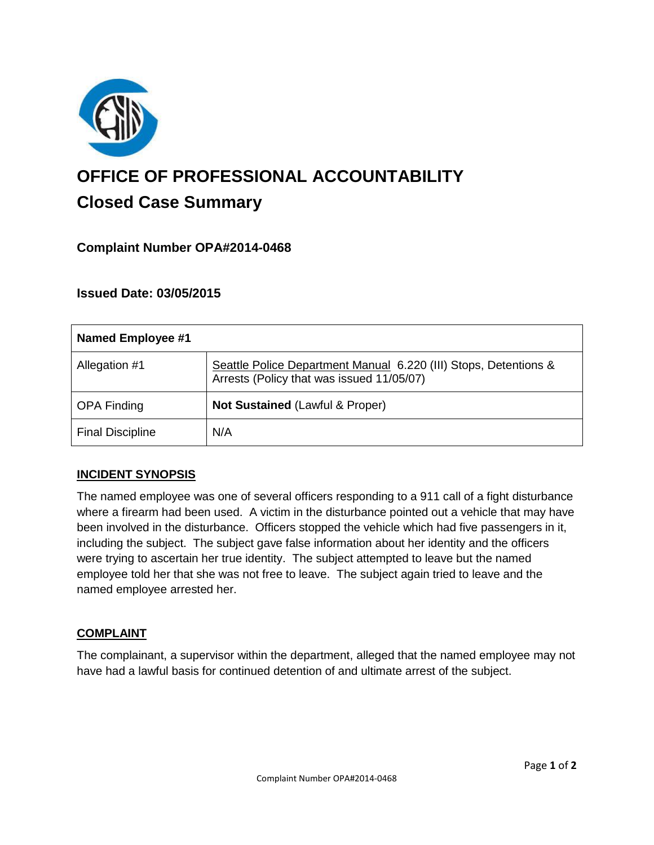

# **OFFICE OF PROFESSIONAL ACCOUNTABILITY Closed Case Summary**

# **Complaint Number OPA#2014-0468**

# **Issued Date: 03/05/2015**

| Named Employee #1       |                                                                                                               |
|-------------------------|---------------------------------------------------------------------------------------------------------------|
| Allegation #1           | Seattle Police Department Manual 6.220 (III) Stops, Detentions &<br>Arrests (Policy that was issued 11/05/07) |
| <b>OPA Finding</b>      | Not Sustained (Lawful & Proper)                                                                               |
| <b>Final Discipline</b> | N/A                                                                                                           |

### **INCIDENT SYNOPSIS**

The named employee was one of several officers responding to a 911 call of a fight disturbance where a firearm had been used. A victim in the disturbance pointed out a vehicle that may have been involved in the disturbance. Officers stopped the vehicle which had five passengers in it, including the subject. The subject gave false information about her identity and the officers were trying to ascertain her true identity. The subject attempted to leave but the named employee told her that she was not free to leave. The subject again tried to leave and the named employee arrested her.

### **COMPLAINT**

The complainant, a supervisor within the department, alleged that the named employee may not have had a lawful basis for continued detention of and ultimate arrest of the subject.